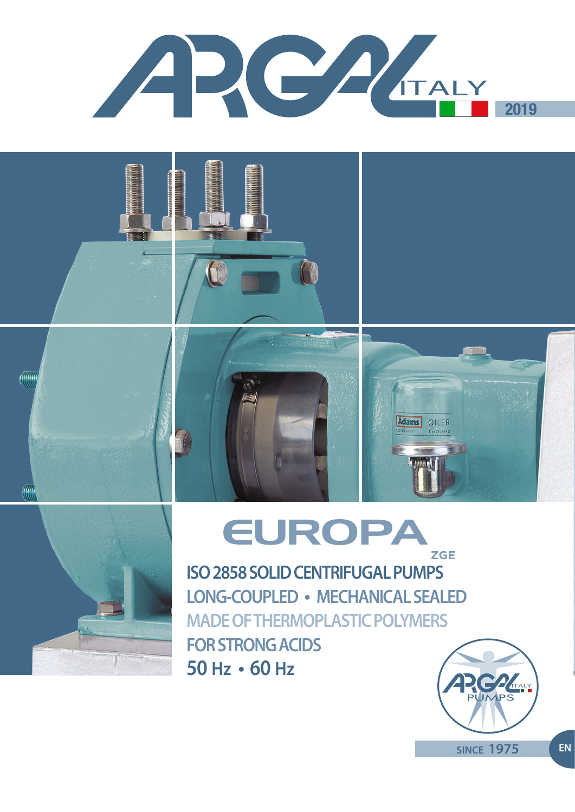









# EUROPA **ZGE**

**ISO 2858 SOLID CENTRIFUGAL PUMPS LONG-COUPLED • MECHANICAL SEALED MADE OF THERMOPLASTIC POLYMERS FOR STRONG ACIDS 50 Hz • 60 Hz**



**SINCE 1975 EN**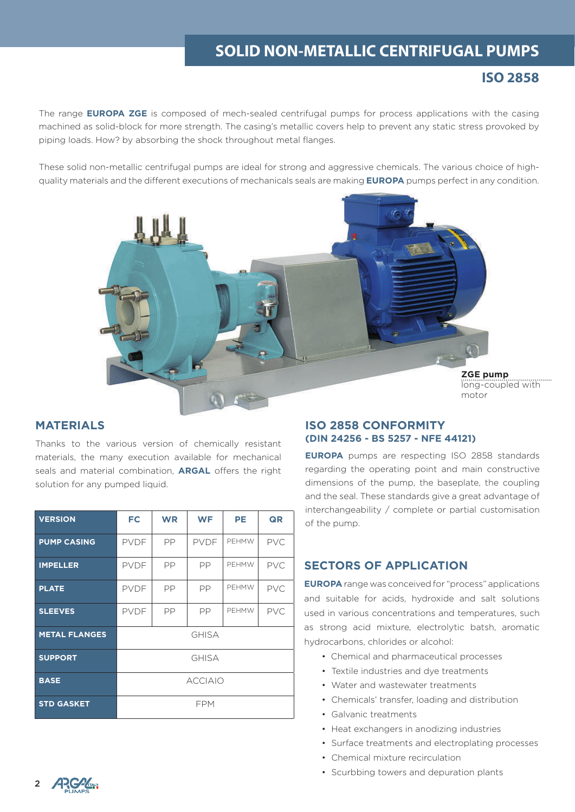# **SOLID NON-METALLIC CENTRIFUGAL PUMPS**

# **ISO 2858**

The range **EUROPA ZGE** is composed of mech-sealed centrifugal pumps for process applications with the casing machined as solid-block for more strength. The casing's metallic covers help to prevent any static stress provoked by piping loads. How? by absorbing the shock throughout metal flanges.

These solid non-metallic centrifugal pumps are ideal for strong and aggressive chemicals. The various choice of highquality materials and the different executions of mechanicals seals are making **EUROPA** pumps perfect in any condition.



### **MATERIALS**

Thanks to the various version of chemically resistant materials, the many execution available for mechanical seals and material combination, **ARGAL** offers the right solution for any pumped liquid.

| <b>VERSION</b>       | <b>FC</b>      | <b>WR</b> | <b>WF</b>   | PE    | QR         |  |
|----------------------|----------------|-----------|-------------|-------|------------|--|
| <b>PUMP CASING</b>   | <b>PVDF</b>    | PP        | <b>PVDF</b> | PFHMW | <b>PVC</b> |  |
| <b>IMPELLER</b>      | <b>PVDF</b>    | PP        | PP          | PEHMW | <b>PVC</b> |  |
| <b>PLATE</b>         | <b>PVDF</b>    | PP        | PP          | PFHMW | <b>PVC</b> |  |
| <b>SLEEVES</b>       | <b>PVDF</b>    | PP        | PP          | PFHMW | <b>PVC</b> |  |
| <b>METAL FLANGES</b> | <b>GHISA</b>   |           |             |       |            |  |
| <b>SUPPORT</b>       | <b>GHISA</b>   |           |             |       |            |  |
| <b>BASE</b>          | <b>ACCIAIO</b> |           |             |       |            |  |
| <b>STD GASKET</b>    | <b>FPM</b>     |           |             |       |            |  |

## **ISO 2858 CONFORMITY (DIN 24256 - BS 5257 - NFE 44121)**

**EUROPA** pumps are respecting ISO 2858 standards regarding the operating point and main constructive dimensions of the pump, the baseplate, the coupling and the seal. These standards give a great advantage of interchangeability / complete or partial customisation of the pump.

## **SECTORS OF APPLICATION**

**EUROPA** range was conceived for "process" applications and suitable for acids, hydroxide and salt solutions used in various concentrations and temperatures, such as strong acid mixture, electrolytic batsh, aromatic hydrocarbons, chlorides or alcohol:

- Chemical and pharmaceutical processes
- Textile industries and dye treatments
- Water and wastewater treatments
- Chemicals' transfer, loading and distribution
- Galvanic treatments
- Heat exchangers in anodizing industries
- Surface treatments and electroplating processes
- Chemical mixture recirculation
- Scurbbing towers and depuration plants

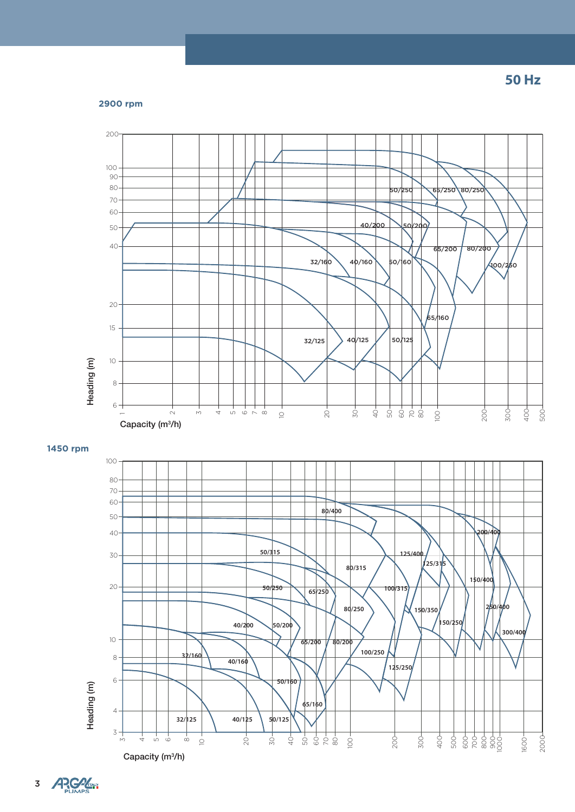**50 Hz 60 Hz**

**2900 rpm**



Capacity (m<sup>3</sup>/h)

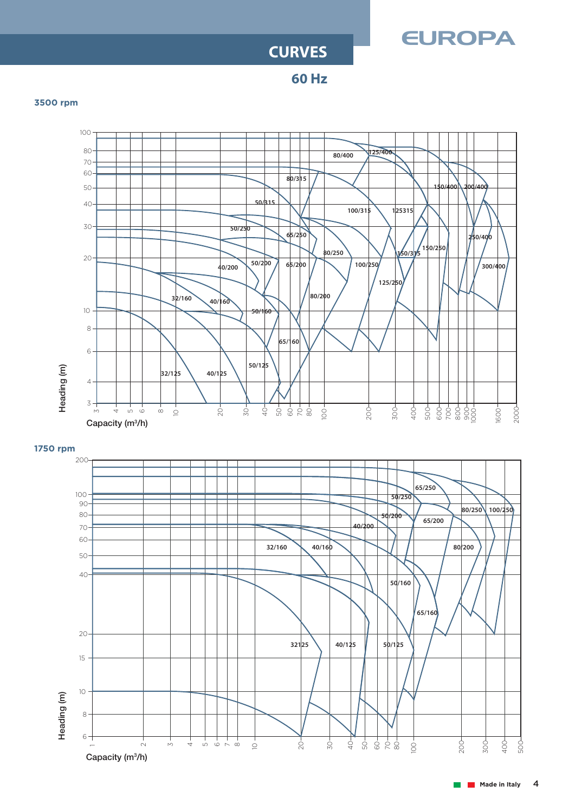

# **CURVES**

**60 Hz**

#### **3500 rpm**



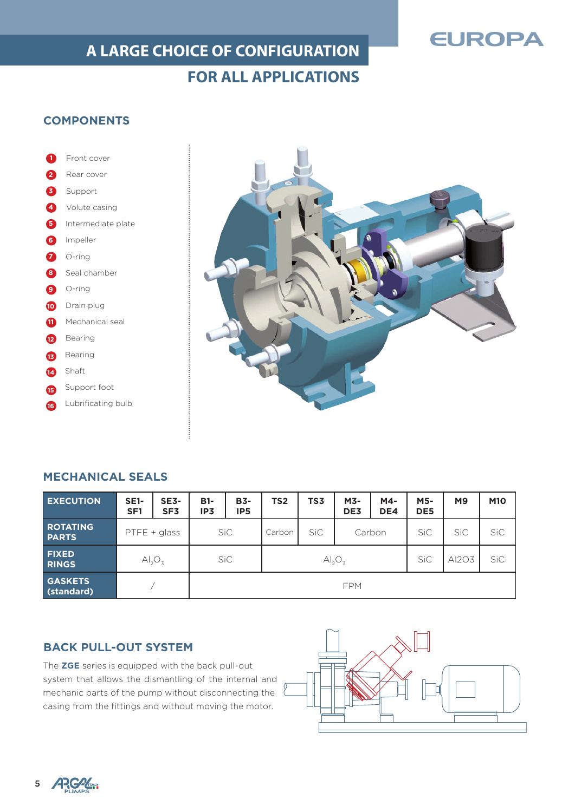# **A LARGE CHOICE OF CONFIGURATION**

# **EUROPA**

# **FOR ALL APPLICATIONS**

## **COMPONENTS**

| П                     | Front cover        |
|-----------------------|--------------------|
| 2                     | Rear cover         |
| ❸                     | Support            |
| ❹                     | Volute casing      |
| ❺                     | Intermediate plate |
| ❺                     | Impeller           |
| Ø                     | O-ring             |
| ❸                     | Seal chamber       |
| ❷                     | O-ring             |
| $\boldsymbol{\omega}$ | Drain plug         |
| ❶                     | Mechanical seal    |
| ⊕                     | Bearing            |
| ⊕                     | Bearing            |
| Ø                     | Shaft              |
| ⊕                     | Support foot       |
| (16)                  | Lubrificating bulb |
|                       |                    |



## **MECHANICAL SEALS**

| <b>EXECUTION</b>                | $SE1-$<br>SF <sub>1</sub>   | $SE3-$<br>SF3 | $B1-$<br>IP3                       | <b>B3-</b><br>IP <sub>5</sub> | TS <sub>2</sub> | TS3        | $M3-$<br>DE3 | M4-<br>DE4 | <b>M5-</b><br>DE5 | <b>M9</b>  | <b>M10</b> |
|---------------------------------|-----------------------------|---------------|------------------------------------|-------------------------------|-----------------|------------|--------------|------------|-------------------|------------|------------|
| <b>ROTATING</b><br><b>PARTS</b> | $PTFE + glass$              |               | <b>SiC</b>                         |                               | Carbon          | <b>SiC</b> | Carbon       |            | <b>SiC</b>        | <b>SiC</b> | <b>SiC</b> |
| <b>FIXED</b><br><b>RINGS</b>    | $\mathsf{Al}_2\mathsf{O}_3$ |               | SiC<br>$\mathsf{Al}_2\mathsf{O}_3$ |                               |                 | SiC        | AI2O3        | <b>SiC</b> |                   |            |            |
| <b>GASKETS</b><br>(standard)    |                             |               | <b>FPM</b>                         |                               |                 |            |              |            |                   |            |            |

## **BACK PULL-OUT SYSTEM**

The **ZGE** series is equipped with the back pull-out system that allows the dismantling of the internal and mechanic parts of the pump without disconnecting the casing from the fittings and without moving the motor.